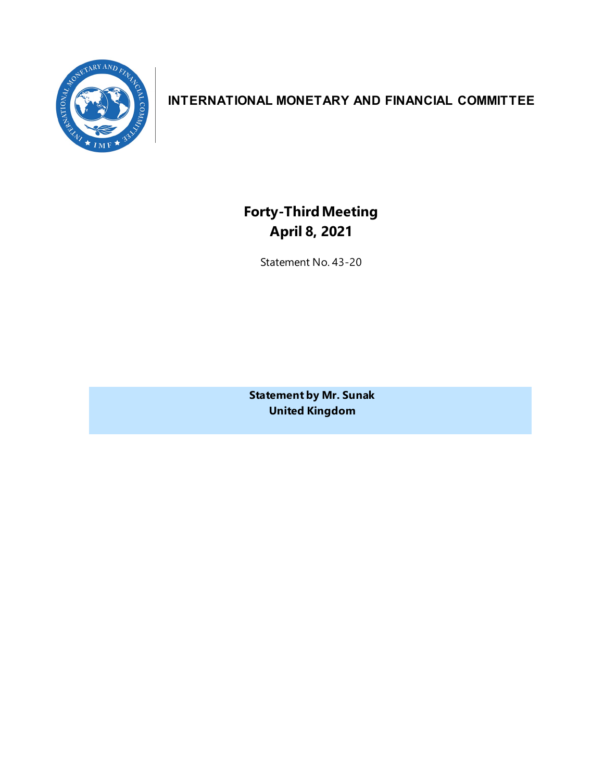

# **INTERNATIONAL MONETARY AND FINANCIAL COMMITTEE**

**Forty-ThirdMeeting April 8, 2021**

Statement No. 43-20

**Statement by Mr. Sunak United Kingdom**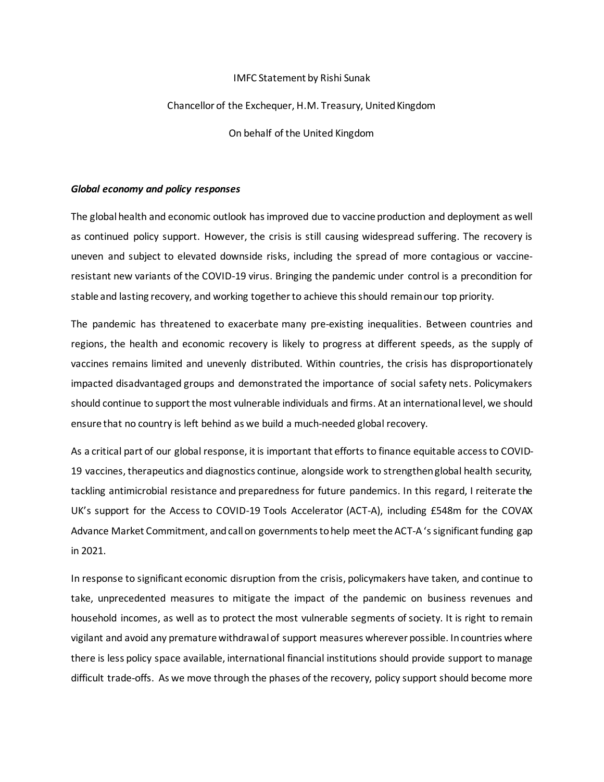#### IMFC Statement by Rishi Sunak

## Chancellor of the Exchequer, H.M. Treasury, United Kingdom

On behalf of the United Kingdom

### *Global economy and policy responses*

The global health and economic outlook has improved due to vaccine production and deployment as well as continued policy support. However, the crisis is still causing widespread suffering. The recovery is uneven and subject to elevated downside risks, including the spread of more contagious or vaccineresistant new variants of the COVID-19 virus. Bringing the pandemic under control is a precondition for stable and lasting recovery, and working together to achieve this should remain our top priority.

The pandemic has threatened to exacerbate many pre-existing inequalities. Between countries and regions, the health and economic recovery is likely to progress at different speeds, as the supply of vaccines remains limited and unevenly distributed. Within countries, the crisis has disproportionately impacted disadvantaged groups and demonstrated the importance of social safety nets. Policymakers should continue to support the most vulnerable individuals and firms. At an international level, we should ensure that no country is left behind as we build a much-needed global recovery.

As a critical part of our global response, it is important that efforts to finance equitable access to COVID-19 vaccines, therapeutics and diagnostics continue, alongside work to strengthen global health security, tackling antimicrobial resistance and preparedness for future pandemics. In this regard, I reiterate the UK's support for the Access to COVID-19 Tools Accelerator (ACT-A), including £548m for the COVAX Advance Market Commitment, and call on governments to help meet the ACT-A 's significant funding gap in 2021.

In response to significant economic disruption from the crisis, policymakers have taken, and continue to take, unprecedented measures to mitigate the impact of the pandemic on business revenues and household incomes, as well as to protect the most vulnerable segments of society. It is right to remain vigilant and avoid any premature withdrawal of support measures wherever possible. In countries where there is less policy space available, international financial institutions should provide support to manage difficult trade-offs. As we move through the phases of the recovery, policy support should become more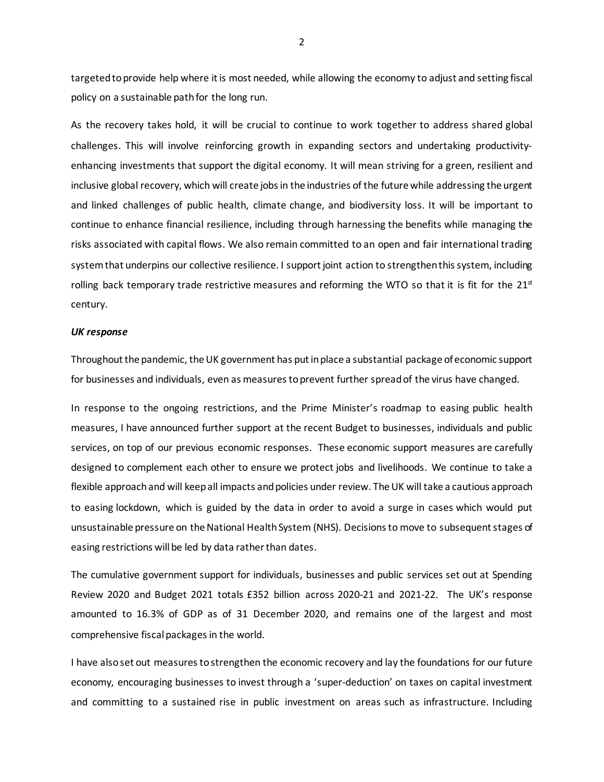targetedto provide help where it is most needed, while allowing the economy to adjust and setting fiscal policy on a sustainable path for the long run.

As the recovery takes hold, it will be crucial to continue to work together to address shared global challenges. This will involve reinforcing growth in expanding sectors and undertaking productivityenhancing investments that support the digital economy. It will mean striving for a green, resilient and inclusive global recovery, which will create jobs in the industries of the future while addressing the urgent and linked challenges of public health, climate change, and biodiversity loss. It will be important to continue to enhance financial resilience, including through harnessing the benefits while managing the risks associated with capital flows. We also remain committed to an open and fair international trading system that underpins our collective resilience. I support joint action to strengthen this system, including rolling back temporary trade restrictive measures and reforming the WTO so that it is fit for the  $21<sup>st</sup>$ century.

#### *UK response*

Throughout the pandemic, the UK government has put in place a substantial package of economic support for businesses and individuals, even as measures to prevent further spread of the virus have changed.

In response to the ongoing restrictions, and the Prime Minister's roadmap to easing public health measures, I have announced further support at the recent Budget to businesses, individuals and public services, on top of our previous economic responses. These economic support measures are carefully designed to complement each other to ensure we protect jobs and livelihoods. We continue to take a flexible approach and will keep all impacts and policies under review. The UK will take a cautious approach to easing lockdown, which is guided by the data in order to avoid a surge in cases which would put unsustainable pressure on theNational Health System (NHS). Decisions to move to subsequent stages of easing restrictions will be led by data rather than dates.

The cumulative government support for individuals, businesses and public services set out at Spending Review 2020 and Budget 2021 totals £352 billion across 2020-21 and 2021-22. The UK's response amounted to 16.3% of GDP as of 31 December 2020, and remains one of the largest and most comprehensive fiscal packages in the world.

I have also set out measures to strengthen the economic recovery and lay the foundations for our future economy, encouraging businesses to invest through a 'super-deduction' on taxes on capital investment and committing to a sustained rise in public investment on areas such as infrastructure. Including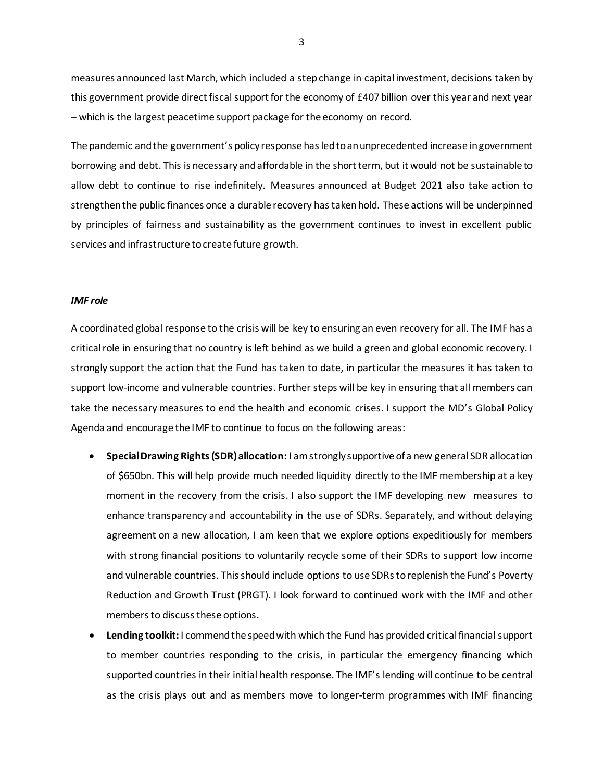measures announced last March, which included a step change in capital investment, decisions taken by this government provide direct fiscal support for the economy of £407 billion over this year and next year – which is the largest peacetime support package for the economy on record.

The pandemic and the government's policy response has led to an unprecedented increase in government borrowing and debt. This is necessary and affordable in the short term, but it would not be sustainable to allow debt to continue to rise indefinitely. Measures announced at Budget 2021 also take action to strengthen the public finances once a durable recovery has taken hold. These actions will be underpinned by principles of fairness and sustainability as the government continues to invest in excellent public services and infrastructure to create future growth.

#### *IMF role*

A coordinated global response to the crisis will be key to ensuring an even recovery for all. The IMF has a critical role in ensuring that no country is left behind as we build a green and global economic recovery. I strongly support the action that the Fund has taken to date, in particular the measures it has taken to support low-income and vulnerable countries. Further steps will be key in ensuring that all members can take the necessary measures to end the health and economic crises. I support the MD's Global Policy Agenda and encourage the IMF to continue to focus on the following areas:

- **Special Drawing Rights (SDR)allocation:** I amstrongly supportive of a new general SDR allocation of \$650bn. This will help provide much needed liquidity directly to the IMF membership at a key moment in the recovery from the crisis. I also support the IMF developing new measures to enhance transparency and accountability in the use of SDRs. Separately, and without delaying agreement on a new allocation, I am keen that we explore options expeditiously for members with strong financial positions to voluntarily recycle some of their SDRs to support low income and vulnerable countries. This should include options to use SDRs toreplenish the Fund's Poverty Reduction and Growth Trust (PRGT). I look forward to continued work with the IMF and other members to discuss these options.
- **Lending toolkit:** I commend the speed with which the Fund has provided critical financial support to member countries responding to the crisis, in particular the emergency financing which supported countries in their initial health response. The IMF's lending will continue to be central as the crisis plays out and as members move to longer-term programmes with IMF financing

3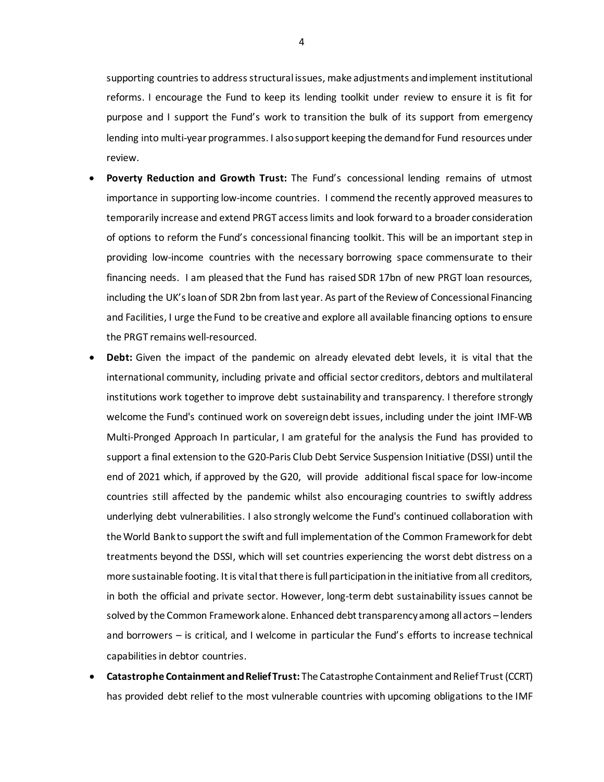supporting countries to address structural issues, make adjustments and implement institutional reforms. I encourage the Fund to keep its lending toolkit under review to ensure it is fit for purpose and I support the Fund's work to transition the bulk of its support from emergency lending into multi-year programmes. I also support keeping the demand for Fund resources under review.

- **Poverty Reduction and Growth Trust:** The Fund's concessional lending remains of utmost importance in supporting low-income countries. I commend the recently approved measures to temporarily increase and extend PRGT access limits and look forward to a broader consideration of options to reform the Fund's concessional financing toolkit. This will be an important step in providing low-income countries with the necessary borrowing space commensurate to their financing needs. I am pleased that the Fund has raised SDR 17bn of new PRGT loan resources, including the UK's loan of SDR 2bn from last year. As part of the Review of Concessional Financing and Facilities, I urge the Fund to be creative and explore all available financing options to ensure the PRGT remains well-resourced.
- **Debt:** Given the impact of the pandemic on already elevated debt levels, it is vital that the international community, including private and official sector creditors, debtors and multilateral institutions work together to improve debt sustainability and transparency. I therefore strongly welcome the Fund's continued work on sovereign debt issues, including under the joint IMF-WB Multi-Pronged Approach In particular, I am grateful for the analysis the Fund has provided to support a final extension to the G20-Paris Club Debt Service Suspension Initiative (DSSI) until the end of 2021 which, if approved by the G20, will provide additional fiscal space for low-income countries still affected by the pandemic whilst also encouraging countries to swiftly address underlying debt vulnerabilities. I also strongly welcome the Fund's continued collaboration with the World Bank to support the swift and full implementation of the Common Framework for debt treatments beyond the DSSI, which will set countries experiencing the worst debt distress on a more sustainable footing. It is vital that there is full participation in the initiative from all creditors, in both the official and private sector. However, long-term debt sustainability issues cannot be solved by the Common Framework alone. Enhanced debt transparency among all actors – lenders and borrowers – is critical, and I welcome in particular the Fund's efforts to increase technical capabilities in debtor countries.
- **Catastrophe Containment and Relief Trust:** The Catastrophe Containment and Relief Trust (CCRT) has provided debt relief to the most vulnerable countries with upcoming obligations to the IMF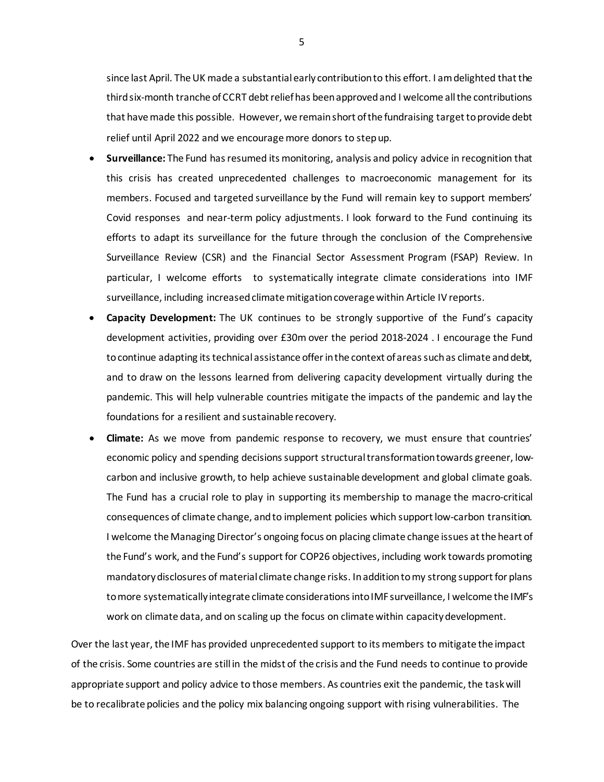since last April. The UK made a substantial early contribution to this effort. I am delighted that the third six-month tranche of CCRT debt relief has been approvedand I welcome all the contributions that have made this possible. However, we remain short of the fundraising target to provide debt relief until April 2022 and we encourage more donors to step up.

- **Surveillance:** The Fund has resumed its monitoring, analysis and policy advice in recognition that this crisis has created unprecedented challenges to macroeconomic management for its members. Focused and targeted surveillance by the Fund will remain key to support members' Covid responses and near-term policy adjustments. I look forward to the Fund continuing its efforts to adapt its surveillance for the future through the conclusion of the Comprehensive Surveillance Review (CSR) and the Financial Sector Assessment Program (FSAP) Review. In particular, I welcome efforts to systematically integrate climate considerations into IMF surveillance, including increased climate mitigation coverage within Article IV reports.
- **Capacity Development:** The UK continues to be strongly supportive of the Fund's capacity development activities, providing over £30m over the period 2018-2024 . I encourage the Fund to continue adapting its technical assistance offer in the context of areas such as climate and debt, and to draw on the lessons learned from delivering capacity development virtually during the pandemic. This will help vulnerable countries mitigate the impacts of the pandemic and lay the foundations for a resilient and sustainable recovery.
- **Climate:** As we move from pandemic response to recovery, we must ensure that countries' economic policy and spending decisions support structuraltransformation towards greener, lowcarbon and inclusive growth, to help achieve sustainable development and global climate goals. The Fund has a crucial role to play in supporting its membership to manage the macro-critical consequences of climate change, and to implement policies which support low-carbon transition. I welcome the Managing Director's ongoing focus on placing climate change issues at the heart of the Fund's work, and the Fund's support for COP26 objectives, including work towards promoting mandatory disclosures of material climate change risks. In addition to my strong support for plans to more systematically integrate climate considerations into IMFsurveillance, I welcome the IMF's work on climate data, and on scaling up the focus on climate within capacity development.

Over the last year, the IMF has provided unprecedented support to its members to mitigate the impact of the crisis. Some countries are still in the midst of the crisis and the Fund needs to continue to provide appropriate support and policy advice to those members. As countries exit the pandemic, the task will be to recalibrate policies and the policy mix balancing ongoing support with rising vulnerabilities. The